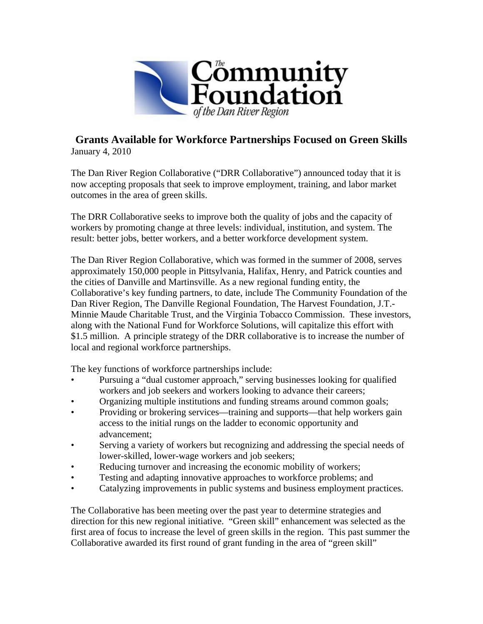

## **Grants Available for Workforce Partnerships Focused on Green Skills**  January 4, 2010

The Dan River Region Collaborative ("DRR Collaborative") announced today that it is now accepting proposals that seek to improve employment, training, and labor market outcomes in the area of green skills.

The DRR Collaborative seeks to improve both the quality of jobs and the capacity of workers by promoting change at three levels: individual, institution, and system. The result: better jobs, better workers, and a better workforce development system.

The Dan River Region Collaborative, which was formed in the summer of 2008, serves approximately 150,000 people in Pittsylvania, Halifax, Henry, and Patrick counties and the cities of Danville and Martinsville. As a new regional funding entity, the Collaborative's key funding partners, to date, include The Community Foundation of the Dan River Region, The Danville Regional Foundation, The Harvest Foundation, J.T.- Minnie Maude Charitable Trust, and the Virginia Tobacco Commission. These investors, along with the National Fund for Workforce Solutions, will capitalize this effort with \$1.5 million. A principle strategy of the DRR collaborative is to increase the number of local and regional workforce partnerships.

The key functions of workforce partnerships include:

- Pursuing a "dual customer approach," serving businesses looking for qualified workers and job seekers and workers looking to advance their careers;
- Organizing multiple institutions and funding streams around common goals;
- Providing or brokering services—training and supports—that help workers gain access to the initial rungs on the ladder to economic opportunity and advancement;
- Serving a variety of workers but recognizing and addressing the special needs of lower-skilled, lower-wage workers and job seekers;
- Reducing turnover and increasing the economic mobility of workers;
- Testing and adapting innovative approaches to workforce problems; and
- Catalyzing improvements in public systems and business employment practices.

The Collaborative has been meeting over the past year to determine strategies and direction for this new regional initiative. "Green skill" enhancement was selected as the first area of focus to increase the level of green skills in the region. This past summer the Collaborative awarded its first round of grant funding in the area of "green skill"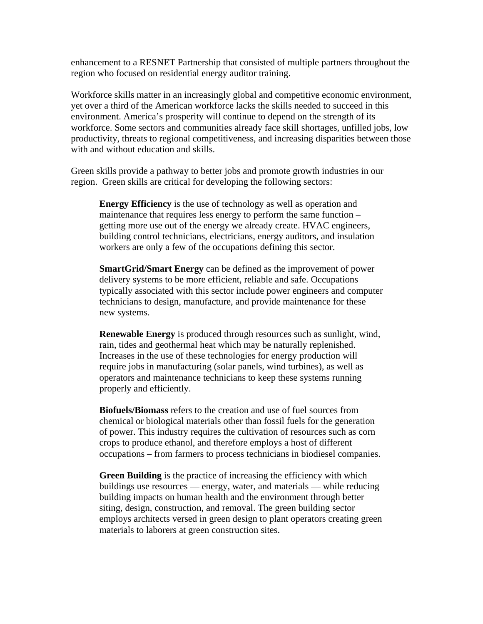enhancement to a RESNET Partnership that consisted of multiple partners throughout the region who focused on residential energy auditor training.

Workforce skills matter in an increasingly global and competitive economic environment, yet over a third of the American workforce lacks the skills needed to succeed in this environment. America's prosperity will continue to depend on the strength of its workforce. Some sectors and communities already face skill shortages, unfilled jobs, low productivity, threats to regional competitiveness, and increasing disparities between those with and without education and skills.

Green skills provide a pathway to better jobs and promote growth industries in our region. Green skills are critical for developing the following sectors:

**Energy Efficiency** is the use of technology as well as operation and maintenance that requires less energy to perform the same function – getting more use out of the energy we already create. HVAC engineers, building control technicians, electricians, energy auditors, and insulation workers are only a few of the occupations defining this sector.

**SmartGrid/Smart Energy** can be defined as the improvement of power delivery systems to be more efficient, reliable and safe. Occupations typically associated with this sector include power engineers and computer technicians to design, manufacture, and provide maintenance for these new systems.

**Renewable Energy** is produced through resources such as sunlight, wind, rain, tides and geothermal heat which may be naturally replenished. Increases in the use of these technologies for energy production will require jobs in manufacturing (solar panels, wind turbines), as well as operators and maintenance technicians to keep these systems running properly and efficiently.

**Biofuels/Biomass** refers to the creation and use of fuel sources from chemical or biological materials other than fossil fuels for the generation of power. This industry requires the cultivation of resources such as corn crops to produce ethanol, and therefore employs a host of different occupations – from farmers to process technicians in biodiesel companies.

**Green Building** is the practice of increasing the efficiency with which buildings use resources — energy, water, and materials — while reducing building impacts on human health and the environment through better siting, design, construction, and removal. The green building sector employs architects versed in green design to plant operators creating green materials to laborers at green construction sites.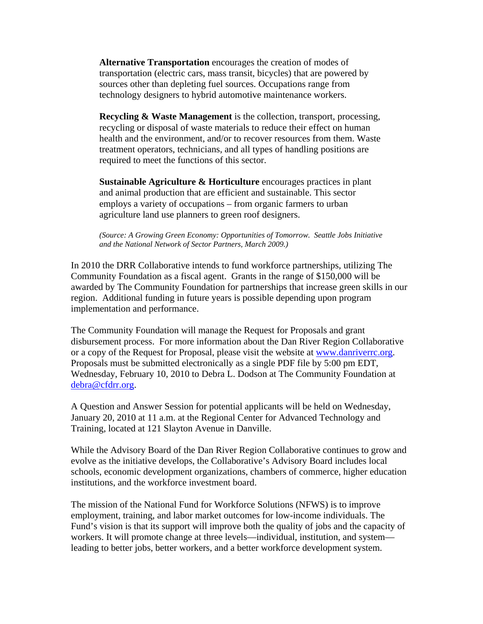**Alternative Transportation** encourages the creation of modes of transportation (electric cars, mass transit, bicycles) that are powered by sources other than depleting fuel sources. Occupations range from technology designers to hybrid automotive maintenance workers.

**Recycling & Waste Management** is the collection, transport, processing, recycling or disposal of waste materials to reduce their effect on human health and the environment, and/or to recover resources from them. Waste treatment operators, technicians, and all types of handling positions are required to meet the functions of this sector.

**Sustainable Agriculture & Horticulture** encourages practices in plant and animal production that are efficient and sustainable. This sector employs a variety of occupations – from organic farmers to urban agriculture land use planners to green roof designers.

*(Source: A Growing Green Economy: Opportunities of Tomorrow. Seattle Jobs Initiative and the National Network of Sector Partners, March 2009.)* 

In 2010 the DRR Collaborative intends to fund workforce partnerships, utilizing The Community Foundation as a fiscal agent. Grants in the range of \$150,000 will be awarded by The Community Foundation for partnerships that increase green skills in our region. Additional funding in future years is possible depending upon program implementation and performance.

The Community Foundation will manage the Request for Proposals and grant disbursement process. For more information about the Dan River Region Collaborative or a copy of the Request for Proposal, please visit the website at www.danriverrc.org. Proposals must be submitted electronically as a single PDF file by 5:00 pm EDT, Wednesday, February 10, 2010 to Debra L. Dodson at The Community Foundation at debra@cfdrr.org.

A Question and Answer Session for potential applicants will be held on Wednesday, January 20, 2010 at 11 a.m. at the Regional Center for Advanced Technology and Training, located at 121 Slayton Avenue in Danville.

While the Advisory Board of the Dan River Region Collaborative continues to grow and evolve as the initiative develops, the Collaborative's Advisory Board includes local schools, economic development organizations, chambers of commerce, higher education institutions, and the workforce investment board.

The mission of the National Fund for Workforce Solutions (NFWS) is to improve employment, training, and labor market outcomes for low-income individuals. The Fund's vision is that its support will improve both the quality of jobs and the capacity of workers. It will promote change at three levels—individual, institution, and system leading to better jobs, better workers, and a better workforce development system.